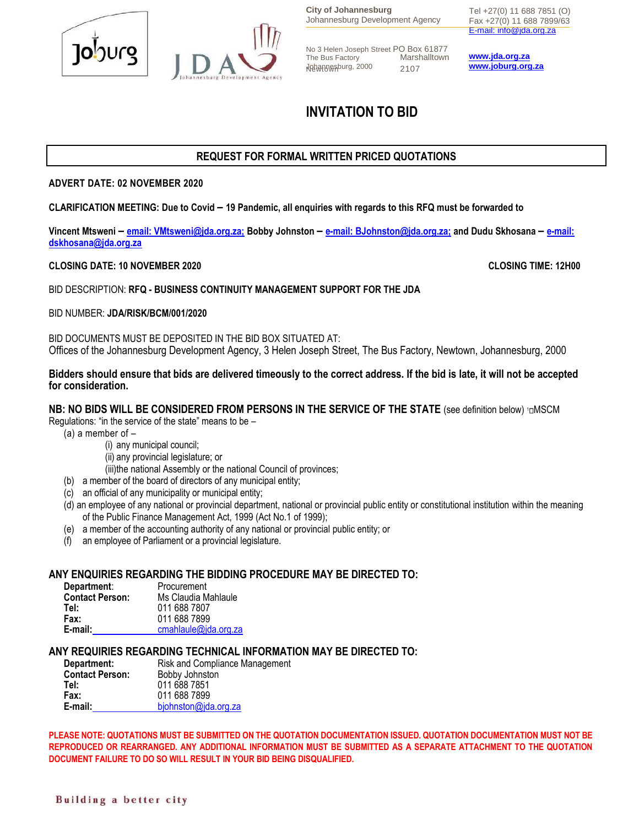

**City of Johannesburg** Johannesburg Development Agency

No 3 Helen Joseph Street PO Box 61877<br>The Bus Factory Marshalltown Marshalltown Johannesburg, 2000 Newtown 2107

Tel +27(0) 11 688 7851 (O) Fax +27(0) 11 688 7899/63 [E-mail: info@jda.org.za](mailto:info@jda.org.za)

**[www.jda.org.za](http://www.jda.org.za/) [www.joburg.org.za](http://www.joburg.org.za/)**

# **INVITATION TO BID**

# **REQUEST FOR FORMAL WRITTEN PRICED QUOTATIONS**

#### **ADVERT DATE: 02 NOVEMBER 2020**

**CLARIFICATION MEETING: Due to Covid – 19 Pandemic, all enquiries with regards to this RFQ must be forwarded to**

**Vincent Mtsweni – [email:](mailto:VMtsweni@jda.org.za;) VMtsweni@jda.org.za; Bobby Johnston – [e-mail:](mailto:BJohnston@jda.org.za;) BJohnston@jda.org.za; and Dudu Skhosana – [e-mail:](mailto:dskhosana@jda.org.za) dskhosana@jda.org.za** 

#### **CLOSING DATE: 10 NOVEMBER 2020 CLOSING TIME: 12H00**

BID DESCRIPTION: **RFQ - BUSINESS CONTINUITY MANAGEMENT SUPPORT FOR THE JDA** 

#### BID NUMBER: **JDA/RISK/BCM/001/2020**

BID DOCUMENTS MUST BE DEPOSITED IN THE BID BOX SITUATED AT: Offices of the Johannesburg Development Agency, 3 Helen Joseph Street, The Bus Factory, Newtown, Johannesburg, 2000

#### **Bidders should ensure that bids are delivered timeously to the correct address. If the bid is late, it will not be accepted for consideration.**

#### **NB: NO BIDS WILL BE CONSIDERED FROM PERSONS IN THE SERVICE OF THE STATE (see definition below) <sup>1</sup>DMSCM**

Regulations: "in the service of the state" means to be –

- (a) a member of
	- (i) any municipal council;
	- (ii) any provincial legislature; or

(iii)the national Assembly or the national Council of provinces;

- (b) a member of the board of directors of any municipal entity;
- (c) an official of any municipality or municipal entity;
- (d) an employee of any national or provincial department, national or provincial public entity or constitutional institution within the meaning of the Public Finance Management Act, 1999 (Act No.1 of 1999);
- (e) a member of the accounting authority of any national or provincial public entity; or
- (f) an employee of Parliament or a provincial legislature.

#### **ANY ENQUIRIES REGARDING THE BIDDING PROCEDURE MAY BE DIRECTED TO:**

| Department:            | Procurement          |
|------------------------|----------------------|
| <b>Contact Person:</b> | Ms Claudia Mahlaule  |
| Tel:                   | 011 688 7807         |
| Fax:                   | 011 688 7899         |
| E-mail:                | cmahlaule@jda.org.za |

#### **ANY REQUIRIES REGARDING TECHNICAL INFORMATION MAY BE DIRECTED TO:**

| Risk and Compliance Management |
|--------------------------------|
| Bobby Johnston                 |
| 011 688 7851                   |
| 011 688 7899                   |
| bjohnston@jda.org.za           |
|                                |

**PLEASE NOTE: QUOTATIONS MUST BE SUBMITTED ON THE QUOTATION DOCUMENTATION ISSUED. QUOTATION DOCUMENTATION MUST NOT BE REPRODUCED OR REARRANGED. ANY ADDITIONAL INFORMATION MUST BE SUBMITTED AS A SEPARATE ATTACHMENT TO THE QUOTATION DOCUMENT FAILURE TO DO SO WILL RESULT IN YOUR BID BEING DISQUALIFIED.**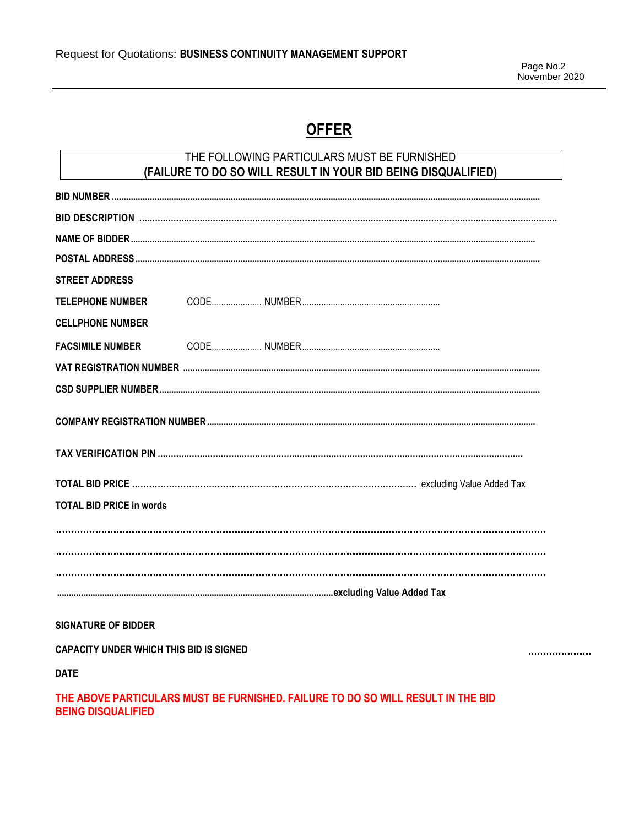# **OFFER**

# THE FOLLOWING PARTICULARS MUST BE FURNISHED (FAILURE TO DO SO WILL RESULT IN YOUR BID BEING DISQUALIFIED)

| <b>STREET ADDRESS</b>           |  |
|---------------------------------|--|
|                                 |  |
| <b>CELLPHONE NUMBER</b>         |  |
| <b>FACSIMILE NUMBER</b>         |  |
|                                 |  |
|                                 |  |
|                                 |  |
|                                 |  |
|                                 |  |
| <b>TOTAL BID PRICE in words</b> |  |
|                                 |  |
|                                 |  |
|                                 |  |
|                                 |  |

### **SIGNATURE OF BIDDER**

**CAPACITY UNDER WHICH THIS BID IS SIGNED** 

....................

**DATE** 

### THE ABOVE PARTICULARS MUST BE FURNISHED. FAILURE TO DO SO WILL RESULT IN THE BID **BEING DISQUALIFIED**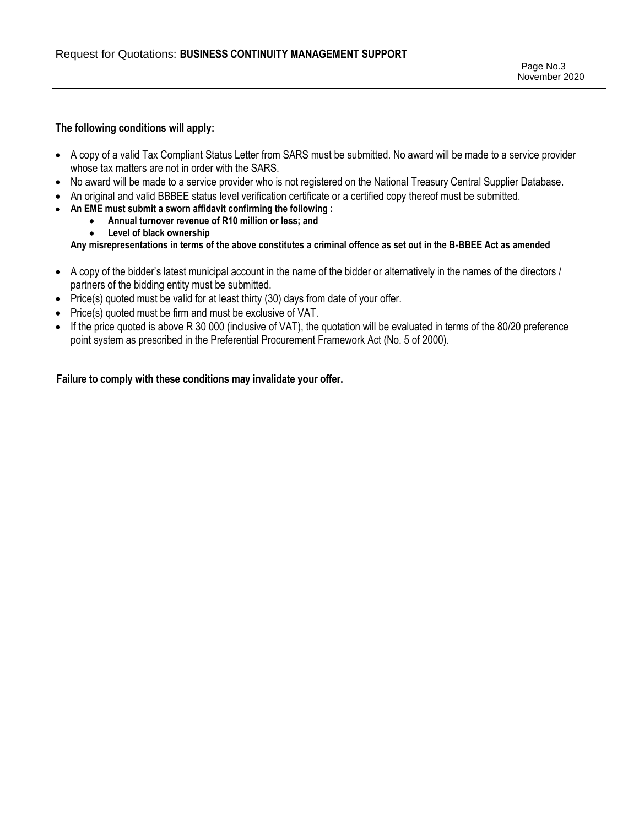#### **The following conditions will apply:**

- A copy of a valid Tax Compliant Status Letter from SARS must be submitted. No award will be made to a service provider whose tax matters are not in order with the SARS.
- No award will be made to a service provider who is not registered on the National Treasury Central Supplier Database.
- An original and valid BBBEE status level verification certificate or a certified copy thereof must be submitted.
- **An EME must submit a sworn affidavit confirming the following :**
	- **Annual turnover revenue of R10 million or less; and**
		- **Level of black ownership**

**Any misrepresentations in terms of the above constitutes a criminal offence as set out in the B-BBEE Act as amended**

- A copy of the bidder's latest municipal account in the name of the bidder or alternatively in the names of the directors / partners of the bidding entity must be submitted.
- Price(s) quoted must be valid for at least thirty (30) days from date of your offer.
- Price(s) quoted must be firm and must be exclusive of VAT.
- If the price quoted is above R 30 000 (inclusive of VAT), the quotation will be evaluated in terms of the 80/20 preference point system as prescribed in the Preferential Procurement Framework Act (No. 5 of 2000).

**Failure to comply with these conditions may invalidate your offer.**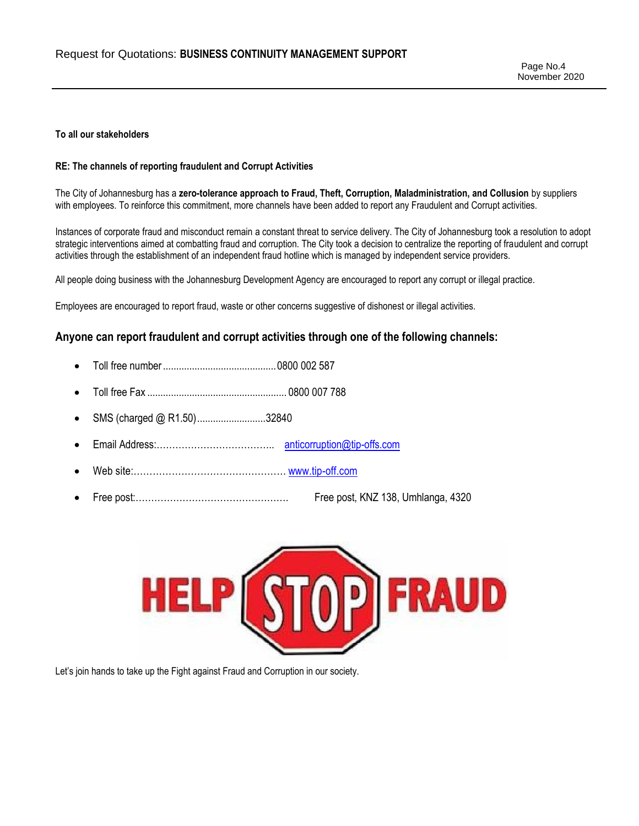Page No.4 November 2020

#### **To all our stakeholders**

#### **RE: The channels of reporting fraudulent and Corrupt Activities**

The City of Johannesburg has a **zero-tolerance approach to Fraud, Theft, Corruption, Maladministration, and Collusion** by suppliers with employees. To reinforce this commitment, more channels have been added to report any Fraudulent and Corrupt activities.

Instances of corporate fraud and misconduct remain a constant threat to service delivery. The City of Johannesburg took a resolution to adopt strategic interventions aimed at combatting fraud and corruption. The City took a decision to centralize the reporting of fraudulent and corrupt activities through the establishment of an independent fraud hotline which is managed by independent service providers.

All people doing business with the Johannesburg Development Agency are encouraged to report any corrupt or illegal practice.

Employees are encouraged to report fraud, waste or other concerns suggestive of dishonest or illegal activities.

#### **Anyone can report fraudulent and corrupt activities through one of the following channels:**

- Toll free number...........................................0800 002 587
- Toll free Fax ..................................................... 0800 007 788
- SMS (charged @ R1.50)..........................32840
- Email Address:……………………………….. [anticorruption@tip-offs.com](mailto:anticorruption@tip-offs.com)
- Web site:………………………………………… [www.tip-off.com](http://www.tip-off.com/)
- Free post:…………………………………………. Free post, KNZ 138, Umhlanga, 4320



Let's join hands to take up the Fight against Fraud and Corruption in our society.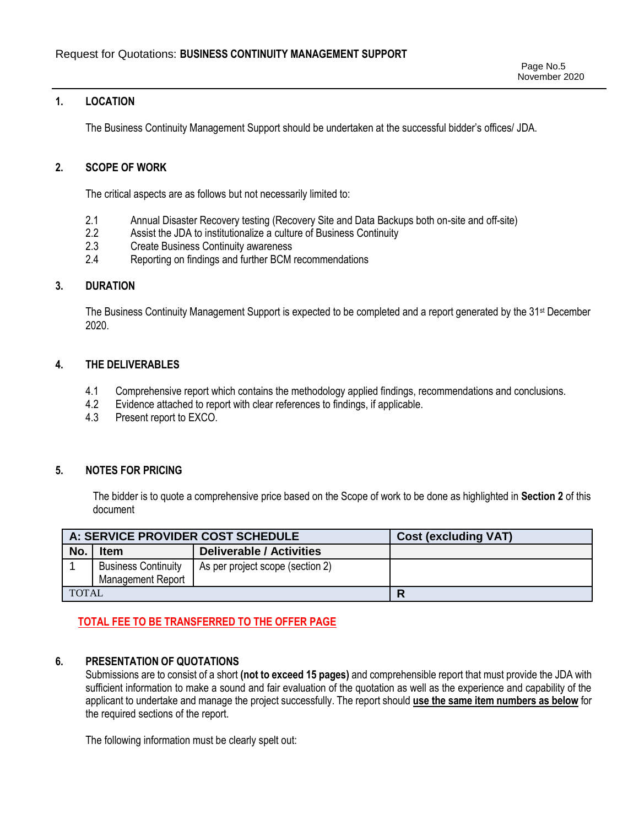#### **1. LOCATION**

The Business Continuity Management Support should be undertaken at the successful bidder's offices/ JDA.

#### **2. SCOPE OF WORK**

The critical aspects are as follows but not necessarily limited to:

- 2.1 Annual Disaster Recovery testing (Recovery Site and Data Backups both on-site and off-site)
- 2.2 Assist the JDA to institutionalize a culture of Business Continuity
- 2.3 Create Business Continuity awareness
- 2.4 Reporting on findings and further BCM recommendations

#### **3. DURATION**

The Business Continuity Management Support is expected to be completed and a report generated by the 31<sup>st</sup> December 2020.

#### **4. THE DELIVERABLES**

- 4.1 Comprehensive report which contains the methodology applied findings, recommendations and conclusions.
- 4.2 Evidence attached to report with clear references to findings, if applicable.
- 4.3 Present report to EXCO.

#### **5. NOTES FOR PRICING**

The bidder is to quote a comprehensive price based on the Scope of work to be done as highlighted in **Section 2** of this document

| A: SERVICE PROVIDER COST SCHEDULE |                                                 |                                  | <b>Cost (excluding VAT)</b> |
|-----------------------------------|-------------------------------------------------|----------------------------------|-----------------------------|
| No.                               | <b>Item</b>                                     | <b>Deliverable / Activities</b>  |                             |
|                                   | <b>Business Continuity</b><br>Management Report | As per project scope (section 2) |                             |
| <b>TOTAL</b>                      |                                                 |                                  | R                           |

# **TOTAL FEE TO BE TRANSFERRED TO THE OFFER PAGE**

#### **6. PRESENTATION OF QUOTATIONS**

Submissions are to consist of a short **(not to exceed 15 pages)** and comprehensible report that must provide the JDA with sufficient information to make a sound and fair evaluation of the quotation as well as the experience and capability of the applicant to undertake and manage the project successfully. The report should **use the same item numbers as below** for the required sections of the report.

The following information must be clearly spelt out: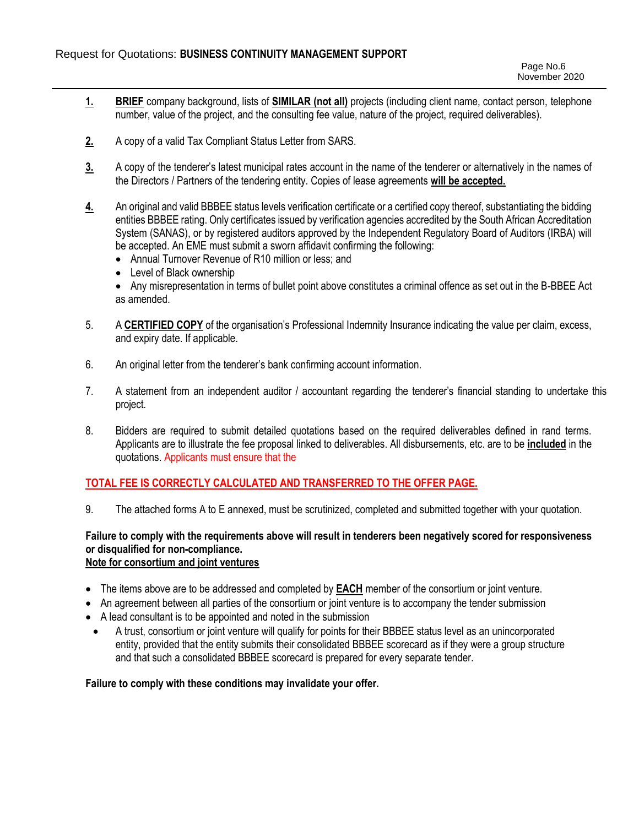- **1. BRIEF** company background, lists of **SIMILAR (not all)** projects (including client name, contact person, telephone number, value of the project, and the consulting fee value, nature of the project, required deliverables).
- **2.** A copy of a valid Tax Compliant Status Letter from SARS.
- **3.** A copy of the tenderer's latest municipal rates account in the name of the tenderer or alternatively in the names of the Directors / Partners of the tendering entity. Copies of lease agreements **will be accepted.**
- **4.** An original and valid BBBEE status levels verification certificate or a certified copy thereof, substantiating the bidding entities BBBEE rating. Only certificates issued by verification agencies accredited by the South African Accreditation System (SANAS), or by registered auditors approved by the Independent Regulatory Board of Auditors (IRBA) will be accepted. An EME must submit a sworn affidavit confirming the following:
	- Annual Turnover Revenue of R10 million or less; and
	- Level of Black ownership
	- Any misrepresentation in terms of bullet point above constitutes a criminal offence as set out in the B-BBEE Act as amended.
- 5. A **CERTIFIED COPY** of the organisation's Professional Indemnity Insurance indicating the value per claim, excess, and expiry date. If applicable.
- 6. An original letter from the tenderer's bank confirming account information.
- 7. A statement from an independent auditor / accountant regarding the tenderer's financial standing to undertake this project.
- 8. Bidders are required to submit detailed quotations based on the required deliverables defined in rand terms. Applicants are to illustrate the fee proposal linked to deliverables. All disbursements, etc. are to be **included** in the quotations. Applicants must ensure that the

# **TOTAL FEE IS CORRECTLY CALCULATED AND TRANSFERRED TO THE OFFER PAGE.**

9. The attached forms A to E annexed, must be scrutinized, completed and submitted together with your quotation.

#### **Failure to comply with the requirements above will result in tenderers been negatively scored for responsiveness or disqualified for non-compliance. Note for consortium and joint ventures**

- 
- The items above are to be addressed and completed by **EACH** member of the consortium or joint venture.
- An agreement between all parties of the consortium or joint venture is to accompany the tender submission
- A lead consultant is to be appointed and noted in the submission
- A trust, consortium or joint venture will qualify for points for their BBBEE status level as an unincorporated entity, provided that the entity submits their consolidated BBBEE scorecard as if they were a group structure and that such a consolidated BBBEE scorecard is prepared for every separate tender.

#### **Failure to comply with these conditions may invalidate your offer.**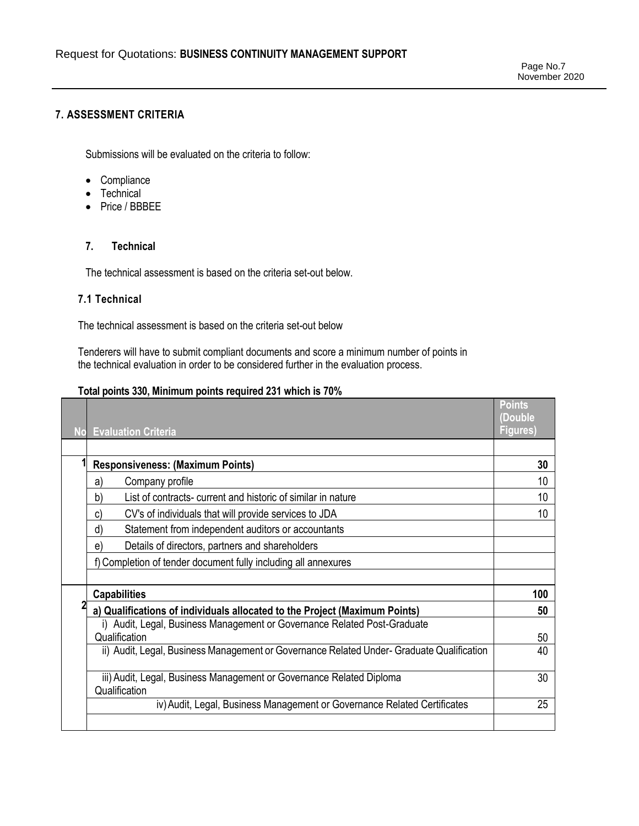# **7. ASSESSMENT CRITERIA**

Submissions will be evaluated on the criteria to follow:

- Compliance
- Technical
- Price / BBBEE

#### **7. Technical**

The technical assessment is based on the criteria set-out below.

### **7.1 Technical**

The technical assessment is based on the criteria set-out below

Tenderers will have to submit compliant documents and score a minimum number of points in the technical evaluation in order to be considered further in the evaluation process.

#### **Total points 330, Minimum points required 231 which is 70%**

| <b>No</b> | <b>Evaluation Criteria</b>                                                                | <b>Points</b><br>(Double<br><b>Figures)</b> |
|-----------|-------------------------------------------------------------------------------------------|---------------------------------------------|
|           |                                                                                           |                                             |
|           | <b>Responsiveness: (Maximum Points)</b>                                                   | 30                                          |
|           | Company profile<br>a)                                                                     | 10                                          |
|           | List of contracts- current and historic of similar in nature<br>b)                        | 10                                          |
|           | CV's of individuals that will provide services to JDA<br>C)                               | 10                                          |
|           | Statement from independent auditors or accountants<br>ď                                   |                                             |
|           | Details of directors, partners and shareholders<br>e                                      |                                             |
|           | f) Completion of tender document fully including all annexures                            |                                             |
|           | <b>Capabilities</b>                                                                       | 100                                         |
|           | a) Qualifications of individuals allocated to the Project (Maximum Points)                | 50                                          |
|           | i) Audit, Legal, Business Management or Governance Related Post-Graduate<br>Qualification | 50                                          |
|           | ii) Audit, Legal, Business Management or Governance Related Under- Graduate Qualification | 40                                          |
|           | iii) Audit, Legal, Business Management or Governance Related Diploma<br>Qualification     | 30                                          |
|           | iv) Audit, Legal, Business Management or Governance Related Certificates                  | 25                                          |
|           |                                                                                           |                                             |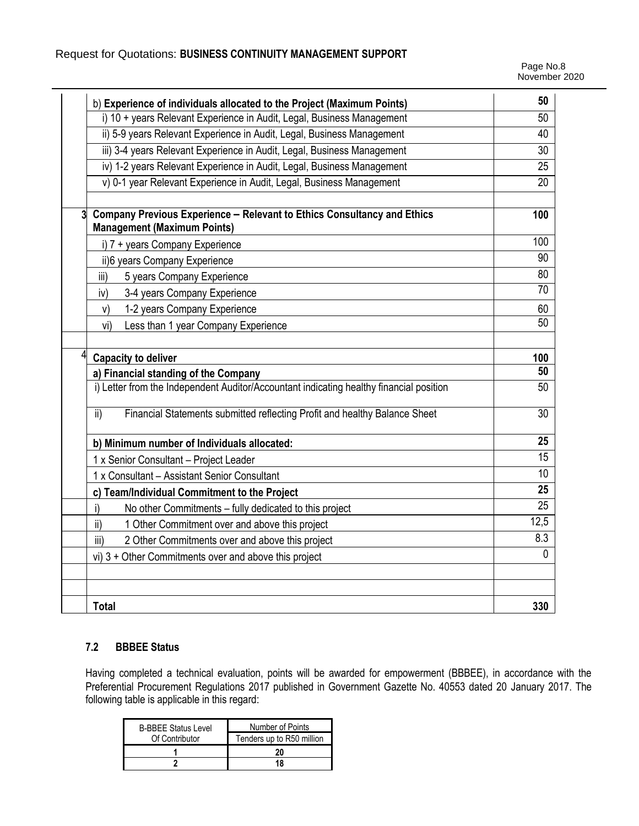# Request for Quotations: **BUSINESS CONTINUITY MANAGEMENT SUPPORT**

| b) Experience of individuals allocated to the Project (Maximum Points)                                                        | 50              |
|-------------------------------------------------------------------------------------------------------------------------------|-----------------|
| i) 10 + years Relevant Experience in Audit, Legal, Business Management                                                        | 50              |
| ii) 5-9 years Relevant Experience in Audit, Legal, Business Management                                                        | 40              |
| iii) 3-4 years Relevant Experience in Audit, Legal, Business Management                                                       | 30              |
| iv) 1-2 years Relevant Experience in Audit, Legal, Business Management                                                        | 25              |
| v) 0-1 year Relevant Experience in Audit, Legal, Business Management                                                          | 20              |
| Company Previous Experience - Relevant to Ethics Consultancy and Ethics<br>$\mathbf{3}$<br><b>Management (Maximum Points)</b> | 100             |
| i) 7 + years Company Experience                                                                                               | 100             |
| ii)6 years Company Experience                                                                                                 | 90              |
| 5 years Company Experience<br>iii)                                                                                            | 80              |
| 3-4 years Company Experience<br>iv)                                                                                           | 70              |
| 1-2 years Company Experience<br>V)                                                                                            | 60              |
| Less than 1 year Company Experience<br>vi)                                                                                    | 50              |
| 4<br><b>Capacity to deliver</b>                                                                                               | 100             |
| a) Financial standing of the Company                                                                                          | 50              |
| i) Letter from the Independent Auditor/Accountant indicating healthy financial position                                       | 50              |
| Financial Statements submitted reflecting Profit and healthy Balance Sheet<br>$\mathsf{ii}$                                   | 30              |
| b) Minimum number of Individuals allocated:                                                                                   | 25              |
| 1 x Senior Consultant - Project Leader                                                                                        | 15              |
| 1 x Consultant - Assistant Senior Consultant                                                                                  | 10              |
| c) Team/Individual Commitment to the Project                                                                                  | 25              |
| No other Commitments - fully dedicated to this project<br>i)                                                                  | $\overline{25}$ |
| 1 Other Commitment over and above this project<br>ii)                                                                         | 12,5            |
| 2 Other Commitments over and above this project<br>iii)                                                                       | 8.3             |
| vi) $3 +$ Other Commitments over and above this project                                                                       |                 |
|                                                                                                                               |                 |
| <b>Total</b>                                                                                                                  | 330             |

# **7.2 BBBEE Status**

Having completed a technical evaluation, points will be awarded for empowerment (BBBEE), in accordance with the Preferential Procurement Regulations 2017 published in Government Gazette No. 40553 dated 20 January 2017. The following table is applicable in this regard:

| <b>B-BBEE Status Level</b> | Number of Points          |  |
|----------------------------|---------------------------|--|
| Of Contributor             | Tenders up to R50 million |  |
|                            |                           |  |
|                            | 18                        |  |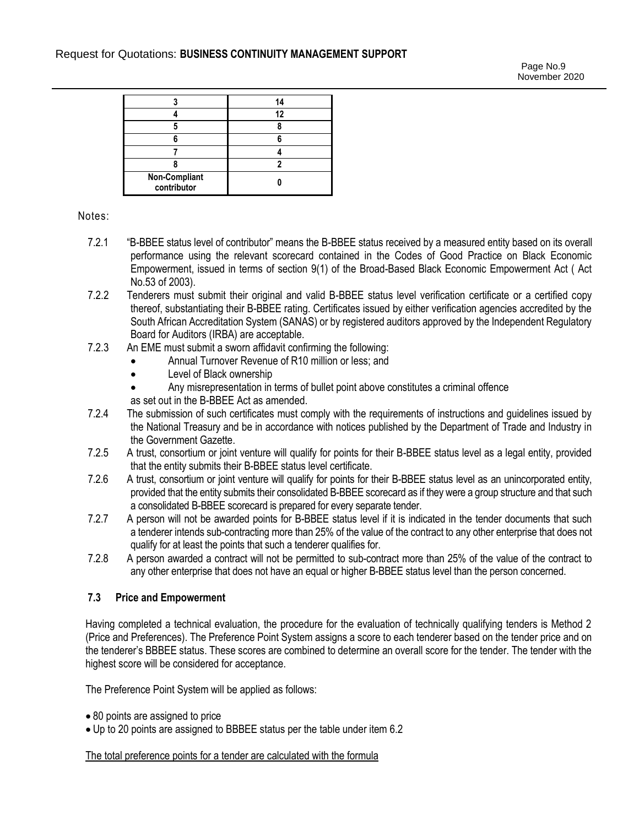|                              | 14 |
|------------------------------|----|
|                              | 12 |
|                              |    |
|                              |    |
|                              |    |
|                              |    |
| Non-Compliant<br>contributor |    |

#### Notes:

- 7.2.1 "B-BBEE status level of contributor" means the B-BBEE status received by a measured entity based on its overall performance using the relevant scorecard contained in the Codes of Good Practice on Black Economic Empowerment, issued in terms of section 9(1) of the Broad-Based Black Economic Empowerment Act ( Act No.53 of 2003).
- 7.2.2 Tenderers must submit their original and valid B-BBEE status level verification certificate or a certified copy thereof, substantiating their B-BBEE rating. Certificates issued by either verification agencies accredited by the South African Accreditation System (SANAS) or by registered auditors approved by the Independent Regulatory Board for Auditors (IRBA) are acceptable.
- 7.2.3 An EME must submit a sworn affidavit confirming the following:
	- Annual Turnover Revenue of R10 million or less; and
	- Level of Black ownership
	- Any misrepresentation in terms of bullet point above constitutes a criminal offence
	- as set out in the B-BBEE Act as amended.
- 7.2.4 The submission of such certificates must comply with the requirements of instructions and guidelines issued by the National Treasury and be in accordance with notices published by the Department of Trade and Industry in the Government Gazette.
- 7.2.5 A trust, consortium or joint venture will qualify for points for their B-BBEE status level as a legal entity, provided that the entity submits their B-BBEE status level certificate.
- 7.2.6 A trust, consortium or joint venture will qualify for points for their B-BBEE status level as an unincorporated entity, provided that the entity submits their consolidated B-BBEE scorecard as if they were a group structure and that such a consolidated B-BBEE scorecard is prepared for every separate tender.
- 7.2.7 A person will not be awarded points for B-BBEE status level if it is indicated in the tender documents that such a tenderer intends sub-contracting more than 25% of the value of the contract to any other enterprise that does not qualify for at least the points that such a tenderer qualifies for.
- 7.2.8 A person awarded a contract will not be permitted to sub-contract more than 25% of the value of the contract to any other enterprise that does not have an equal or higher B-BBEE status level than the person concerned.

#### **7.3 Price and Empowerment**

Having completed a technical evaluation, the procedure for the evaluation of technically qualifying tenders is Method 2 (Price and Preferences). The Preference Point System assigns a score to each tenderer based on the tender price and on the tenderer's BBBEE status. These scores are combined to determine an overall score for the tender. The tender with the highest score will be considered for acceptance.

The Preference Point System will be applied as follows:

- 80 points are assigned to price
- Up to 20 points are assigned to BBBEE status per the table under item 6.2

The total preference points for a tender are calculated with the formula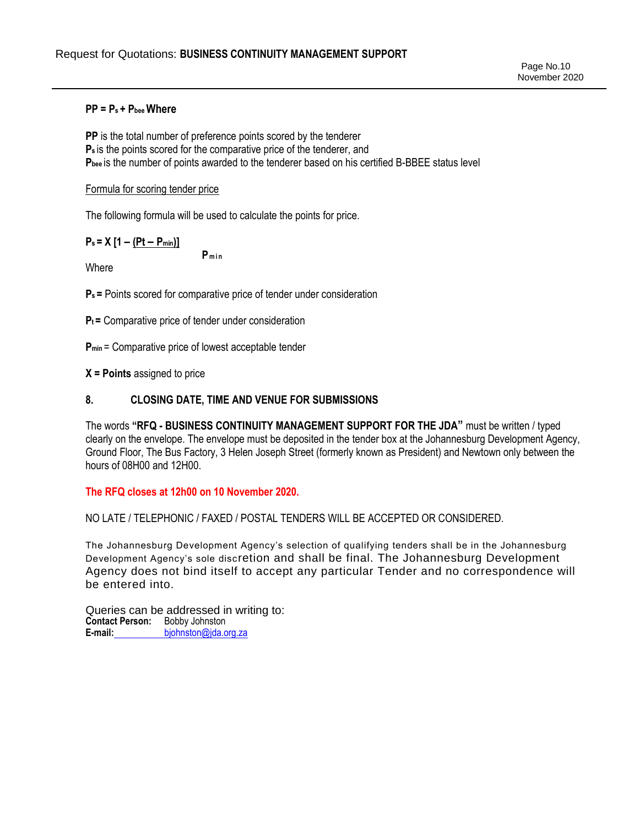**PP = Ps + Pbee Where**

**PP** is the total number of preference points scored by the tenderer **Ps** is the points scored for the comparative price of the tenderer, and **Pbee** is the number of points awarded to the tenderer based on his certified B-BBEE status level

#### Formula for scoring tender price

The following formula will be used to calculate the points for price.

# **Ps = X [1 – (Pt – Pmin)]**

Where

**P min**

**Ps =** Points scored for comparative price of tender under consideration

**Pt =** Comparative price of tender under consideration

**P**<sub>min</sub> = Comparative price of lowest acceptable tender

**X = Points** assigned to price

# **8. CLOSING DATE, TIME AND VENUE FOR SUBMISSIONS**

The words **"RFQ - BUSINESS CONTINUITY MANAGEMENT SUPPORT FOR THE JDA"** must be written / typed clearly on the envelope. The envelope must be deposited in the tender box at the Johannesburg Development Agency, Ground Floor, The Bus Factory, 3 Helen Joseph Street (formerly known as President) and Newtown only between the hours of 08H00 and 12H00.

# **The RFQ closes at 12h00 on 10 November 2020.**

#### NO LATE / TELEPHONIC / FAXED / POSTAL TENDERS WILL BE ACCEPTED OR CONSIDERED.

The Johannesburg Development Agency's selection of qualifying tenders shall be in the Johannesburg Development Agency's sole discretion and shall be final. The Johannesburg Development Agency does not bind itself to accept any particular Tender and no correspondence will be entered into.

Queries can be addressed in writing to: **Contact Person:** Bobby Johnston **E-mail:** [bjohnston@jda.org.za](mailto:bjohnston@jda.org.za)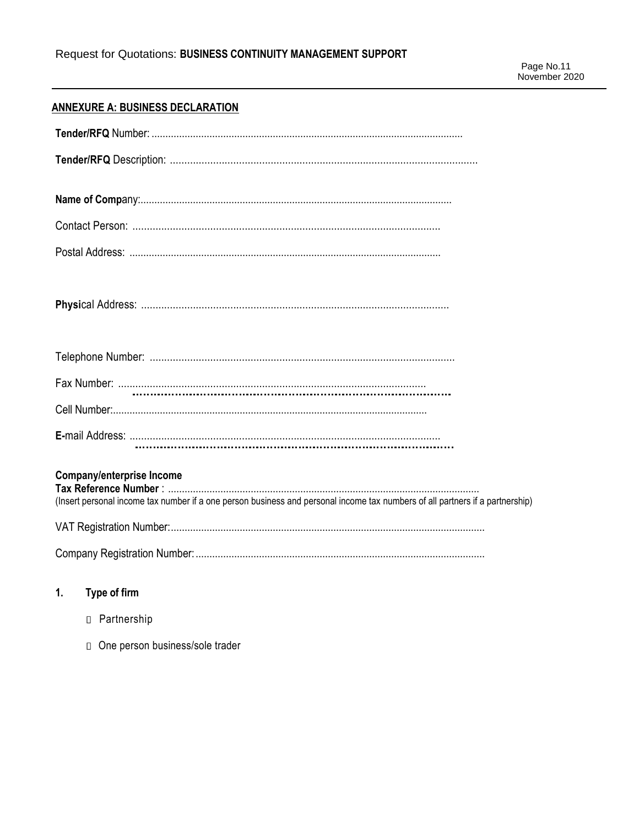# **ANNEXURE A: BUSINESS DECLARATION**

| <b>Company/enterprise Income</b><br>(Insert personal income tax number if a one person business and personal income tax numbers of all partners if a partnership) |
|-------------------------------------------------------------------------------------------------------------------------------------------------------------------|
|                                                                                                                                                                   |
|                                                                                                                                                                   |

#### $1.$ Type of firm

- n Partnership
- □ One person business/sole trader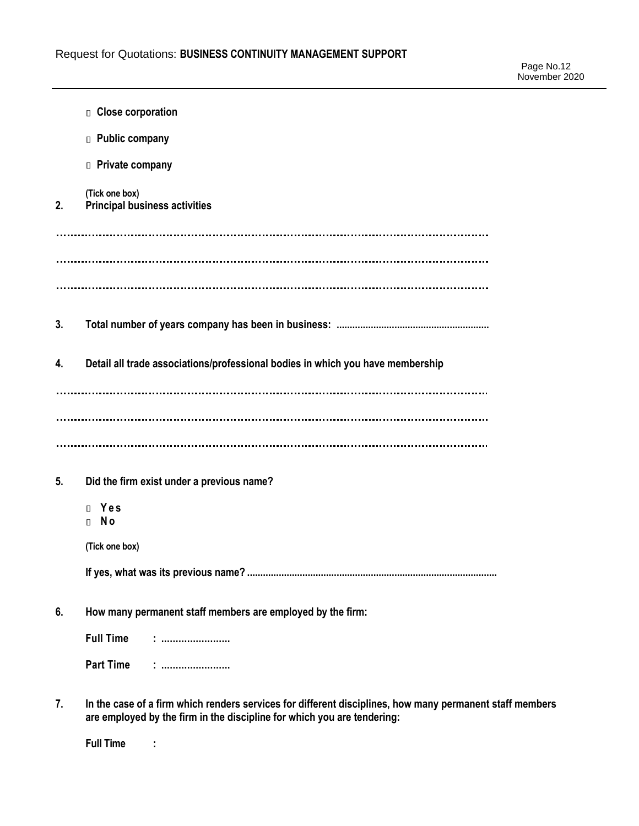|    | <b>D</b> Close corporation                                                                                                                                                          |
|----|-------------------------------------------------------------------------------------------------------------------------------------------------------------------------------------|
|    | D Public company                                                                                                                                                                    |
|    | <b>D</b> Private company                                                                                                                                                            |
| 2. | (Tick one box)<br><b>Principal business activities</b>                                                                                                                              |
|    |                                                                                                                                                                                     |
| 3. |                                                                                                                                                                                     |
| 4. | Detail all trade associations/professional bodies in which you have membership                                                                                                      |
|    |                                                                                                                                                                                     |
| 5. | Did the firm exist under a previous name?                                                                                                                                           |
|    | Yes<br>$\Box$<br>N <sub>o</sub><br>$\Box$                                                                                                                                           |
|    | (Tick one box)                                                                                                                                                                      |
|    |                                                                                                                                                                                     |
| 6. | How many permanent staff members are employed by the firm:                                                                                                                          |
|    | <b>Full Time</b><br>:<br>:                                                                                                                                                          |
|    | <b>Part Time</b>                                                                                                                                                                    |
| 7. | In the case of a firm which renders services for different disciplines, how many permanent staff members<br>are employed by the firm in the discipline for which you are tendering: |

**Full Time :**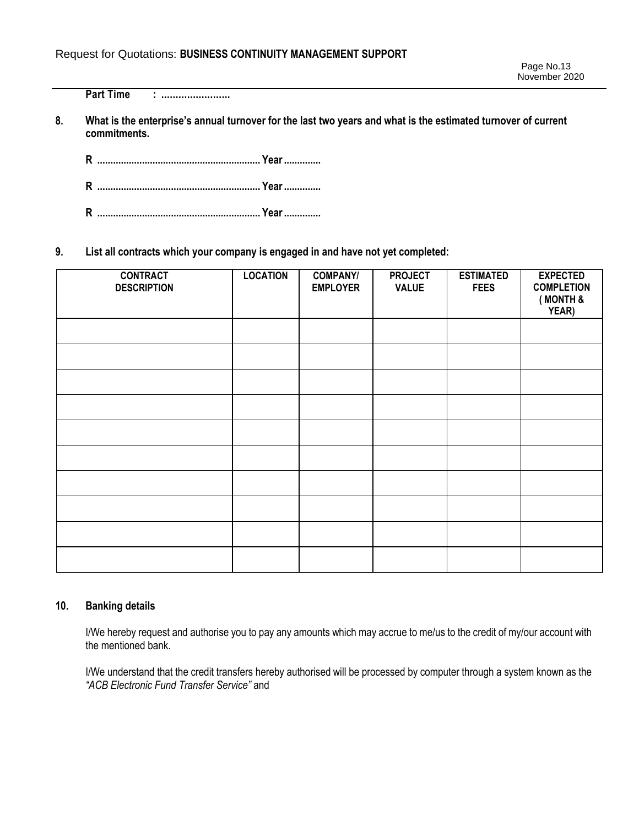**Part Time : ........................**

**8. What is the enterprise's annual turnover for the last two years and what is the estimated turnover of current commitments.**

**R .............................................................. Year..............**

**R .............................................................. Year..............**

**R .............................................................. Year..............**

**9. List all contracts which your company is engaged in and have not yet completed:**

| <b>CONTRACT</b><br><b>DESCRIPTION</b> | <b>LOCATION</b> | <b>COMPANY/</b><br><b>EMPLOYER</b> | <b>PROJECT</b><br><b>VALUE</b> | <b>ESTIMATED</b><br><b>FEES</b> | <b>EXPECTED</b><br><b>COMPLETION</b><br>(MONTH &<br>YEAR) |
|---------------------------------------|-----------------|------------------------------------|--------------------------------|---------------------------------|-----------------------------------------------------------|
|                                       |                 |                                    |                                |                                 |                                                           |
|                                       |                 |                                    |                                |                                 |                                                           |
|                                       |                 |                                    |                                |                                 |                                                           |
|                                       |                 |                                    |                                |                                 |                                                           |
|                                       |                 |                                    |                                |                                 |                                                           |
|                                       |                 |                                    |                                |                                 |                                                           |
|                                       |                 |                                    |                                |                                 |                                                           |
|                                       |                 |                                    |                                |                                 |                                                           |
|                                       |                 |                                    |                                |                                 |                                                           |
|                                       |                 |                                    |                                |                                 |                                                           |

#### **10. Banking details**

I/We hereby request and authorise you to pay any amounts which may accrue to me/us to the credit of my/our account with the mentioned bank.

I/We understand that the credit transfers hereby authorised will be processed by computer through a system known as the *"ACB Electronic Fund Transfer Service"* and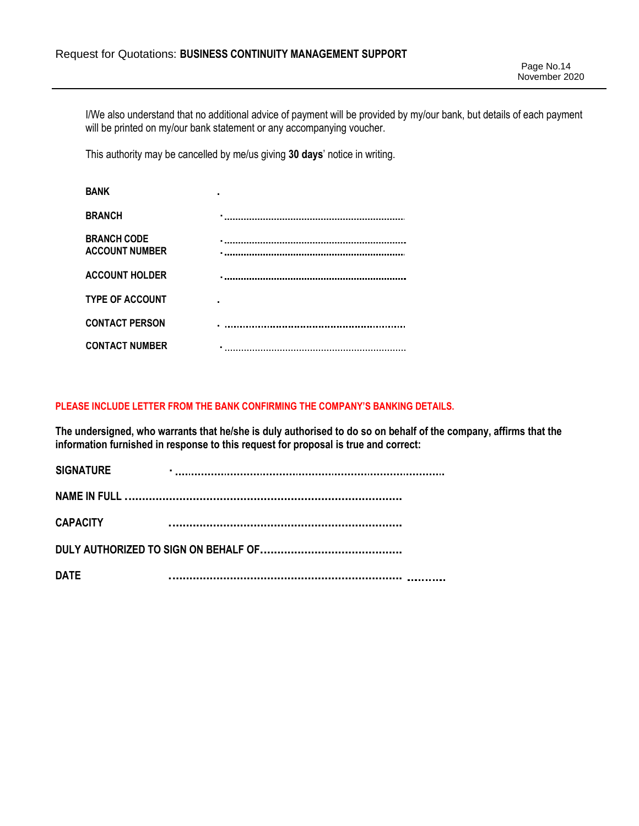I/We also understand that no additional advice of payment will be provided by my/our bank, but details of each payment will be printed on my/our bank statement or any accompanying voucher.

This authority may be cancelled by me/us giving **30 days**' notice in writing.

| <b>BANK</b>                                 |  |
|---------------------------------------------|--|
| <b>BRANCH</b>                               |  |
| <b>BRANCH CODE</b><br><b>ACCOUNT NUMBER</b> |  |
| <b>ACCOUNT HOLDER</b>                       |  |
| <b>TYPE OF ACCOUNT</b>                      |  |
| <b>CONTACT PERSON</b>                       |  |
| <b>CONTACT NUMBER</b>                       |  |

#### **PLEASE INCLUDE LETTER FROM THE BANK CONFIRMING THE COMPANY'S BANKING DETAILS.**

**The undersigned, who warrants that he/she is duly authorised to do so on behalf of the company, affirms that the information furnished in response to this request for proposal is true and correct:**

| <b>SIGNATURE</b> |  |
|------------------|--|
|                  |  |
| <b>CAPACITY</b>  |  |
|                  |  |
| <b>DATE</b>      |  |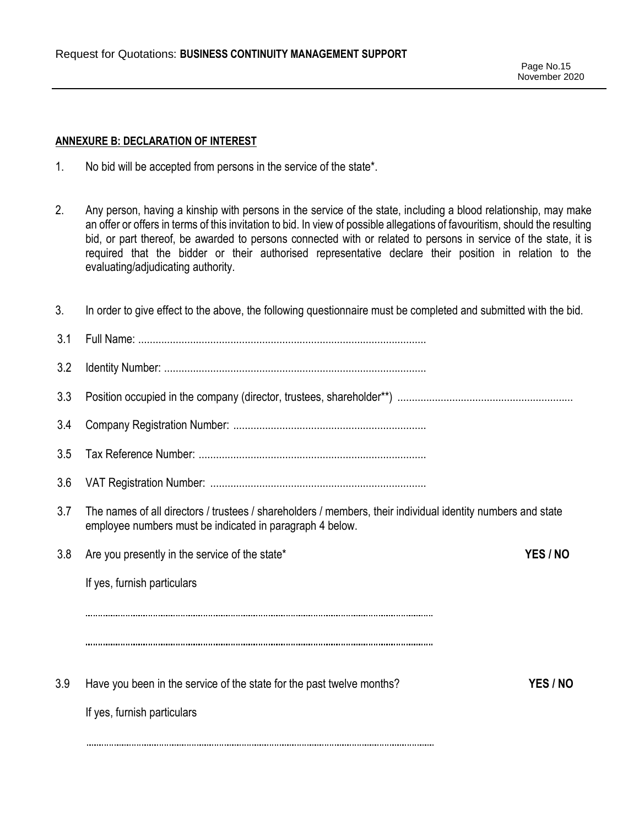#### **ANNEXURE B: DECLARATION OF INTEREST**

- 1. No bid will be accepted from persons in the service of the state\*.
- 2. Any person, having a kinship with persons in the service of the state, including a blood relationship, may make an offer or offers in terms of this invitation to bid. In view of possible allegations of favouritism, should the resulting bid, or part thereof, be awarded to persons connected with or related to persons in service of the state, it is required that the bidder or their authorised representative declare their position in relation to the evaluating/adjudicating authority.

| 3.  | In order to give effect to the above, the following questionnaire must be completed and submitted with the bid.                                                         |          |
|-----|-------------------------------------------------------------------------------------------------------------------------------------------------------------------------|----------|
| 3.1 |                                                                                                                                                                         |          |
| 3.2 |                                                                                                                                                                         |          |
| 3.3 |                                                                                                                                                                         |          |
| 3.4 |                                                                                                                                                                         |          |
| 3.5 |                                                                                                                                                                         |          |
| 3.6 |                                                                                                                                                                         |          |
| 3.7 | The names of all directors / trustees / shareholders / members, their individual identity numbers and state<br>employee numbers must be indicated in paragraph 4 below. |          |
| 3.8 | Are you presently in the service of the state*                                                                                                                          | YES / NO |
|     | If yes, furnish particulars                                                                                                                                             |          |
|     |                                                                                                                                                                         |          |
|     |                                                                                                                                                                         |          |
| 3.9 | Have you been in the service of the state for the past twelve months?                                                                                                   | YES / NO |
|     | If yes, furnish particulars                                                                                                                                             |          |
|     |                                                                                                                                                                         |          |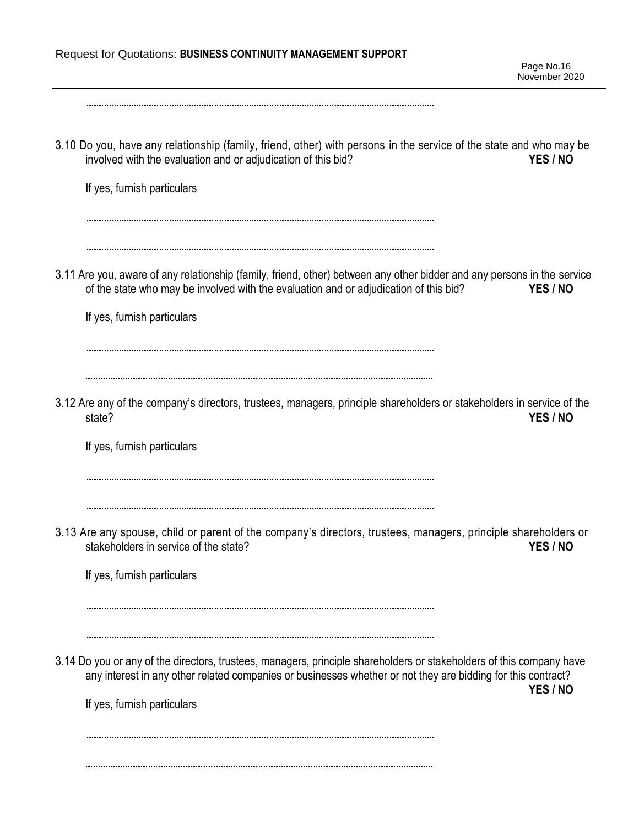| Request for Quotations: BUSINESS CONTINUITY MANAGEMENT SUPPORT                                                                                                                                                                                                      | Page No.16<br>November 2020 |
|---------------------------------------------------------------------------------------------------------------------------------------------------------------------------------------------------------------------------------------------------------------------|-----------------------------|
| 3.10 Do you, have any relationship (family, friend, other) with persons in the service of the state and who may be<br>involved with the evaluation and or adjudication of this bid?<br>If yes, furnish particulars                                                  | YES / NO                    |
| 3.11 Are you, aware of any relationship (family, friend, other) between any other bidder and any persons in the service<br>of the state who may be involved with the evaluation and or adjudication of this bid?<br>If yes, furnish particulars                     | YES / NO                    |
| 3.12 Are any of the company's directors, trustees, managers, principle shareholders or stakeholders in service of the<br>state?<br>If yes, furnish particulars                                                                                                      | YES / NO                    |
| 3.13 Are any spouse, child or parent of the company's directors, trustees, managers, principle shareholders or<br>stakeholders in service of the state?<br>If yes, furnish particulars                                                                              | YES / NO                    |
| 3.14 Do you or any of the directors, trustees, managers, principle shareholders or stakeholders of this company have<br>any interest in any other related companies or businesses whether or not they are bidding for this contract?<br>If yes, furnish particulars | YES / NO                    |
|                                                                                                                                                                                                                                                                     |                             |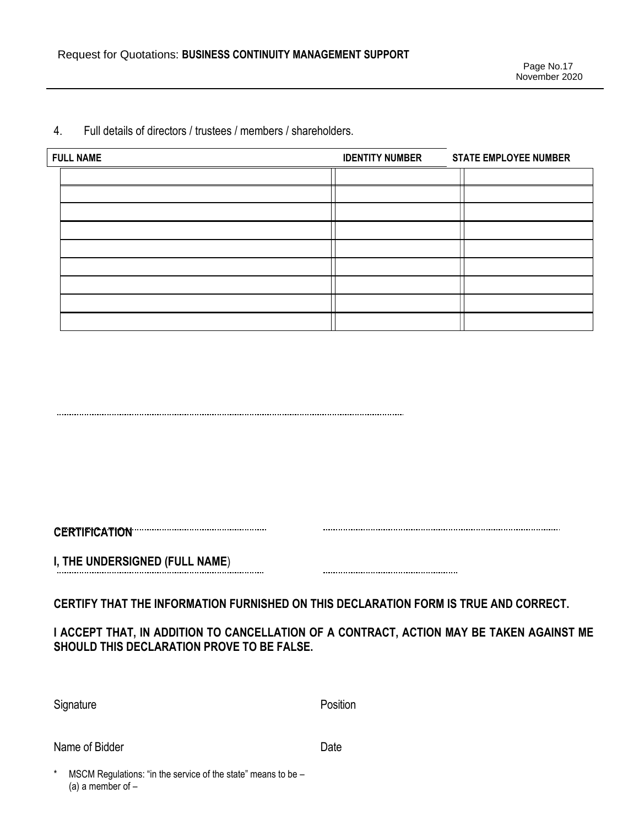| <b>FULL NAME</b> | <b>IDENTITY NUMBER</b> | <b>STATE EMPLOYEE NUMBER</b> |
|------------------|------------------------|------------------------------|
|                  |                        |                              |
|                  |                        |                              |
|                  |                        |                              |
|                  |                        |                              |
|                  |                        |                              |
|                  |                        |                              |
|                  |                        |                              |
|                  |                        |                              |
|                  |                        |                              |

#### 4. Full details of directors / trustees / members / shareholders.

**CERTIFICATION** 

**I, THE UNDERSIGNED (FULL NAME**)

**CERTIFY THAT THE INFORMATION FURNISHED ON THIS DECLARATION FORM IS TRUE AND CORRECT.**

# **I ACCEPT THAT, IN ADDITION TO CANCELLATION OF A CONTRACT, ACTION MAY BE TAKEN AGAINST ME SHOULD THIS DECLARATION PROVE TO BE FALSE.**

| Signature | Position |
|-----------|----------|
|           |          |

Name of Bidder **Date** 

MSCM Regulations: "in the service of the state" means to be  $-$ (a) a member of  $-$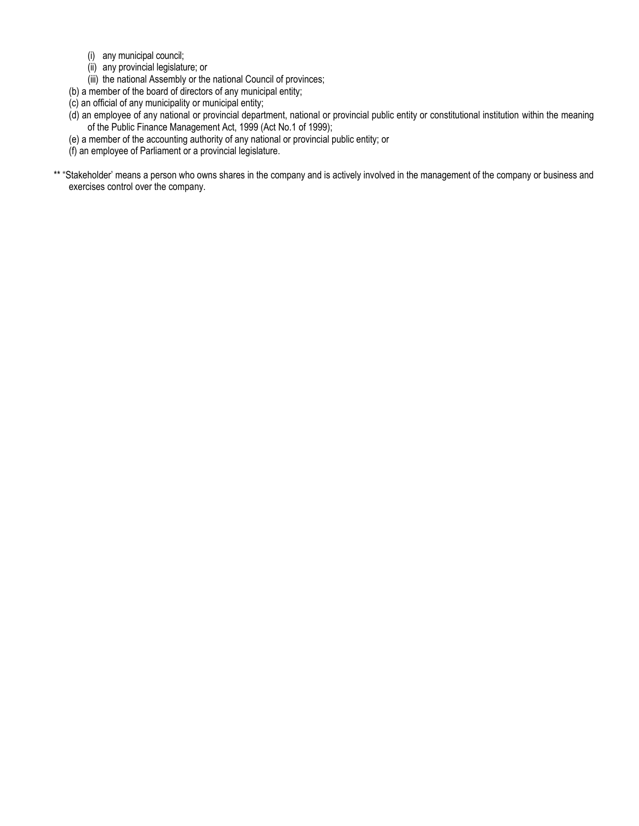- (i) any municipal council;
- (ii) any provincial legislature; or
- (iii) the national Assembly or the national Council of provinces;

(b) a member of the board of directors of any municipal entity;

- (c) an official of any municipality or municipal entity;
- (d) an employee of any national or provincial department, national or provincial public entity or constitutional institution within the meaning of the Public Finance Management Act, 1999 (Act No.1 of 1999);
- (e) a member of the accounting authority of any national or provincial public entity; or
- (f) an employee of Parliament or a provincial legislature.
- \*\* "Stakeholder' means a person who owns shares in the company and is actively involved in the management of the company or business and exercises control over the company.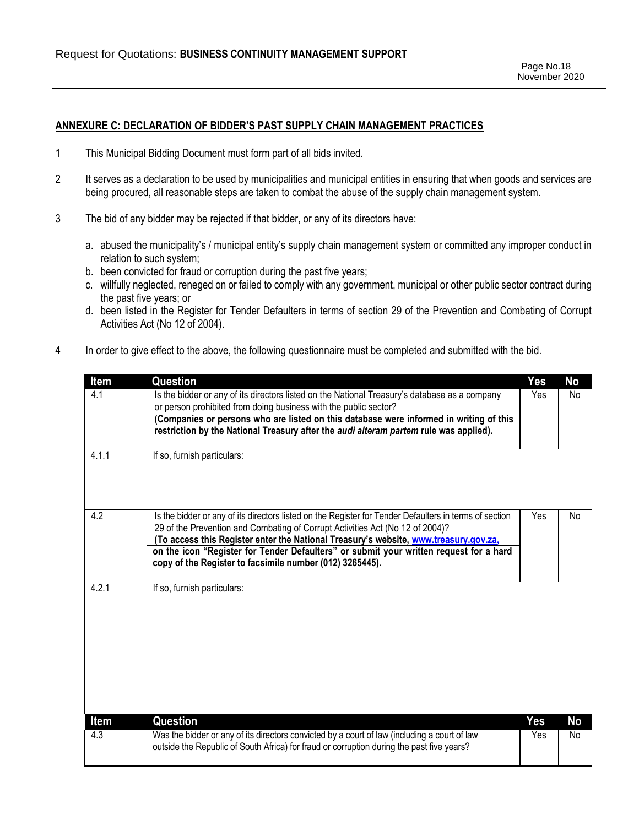#### **ANNEXURE C: DECLARATION OF BIDDER'S PAST SUPPLY CHAIN MANAGEMENT PRACTICES**

- 1 This Municipal Bidding Document must form part of all bids invited.
- 2 It serves as a declaration to be used by municipalities and municipal entities in ensuring that when goods and services are being procured, all reasonable steps are taken to combat the abuse of the supply chain management system.
- 3 The bid of any bidder may be rejected if that bidder, or any of its directors have:
	- a. abused the municipality's / municipal entity's supply chain management system or committed any improper conduct in relation to such system;
	- b. been convicted for fraud or corruption during the past five years;
	- c. willfully neglected, reneged on or failed to comply with any government, municipal or other public sector contract during the past five years; or
	- d. been listed in the Register for Tender Defaulters in terms of section 29 of the Prevention and Combating of Corrupt Activities Act (No 12 of 2004).
- 4 In order to give effect to the above, the following questionnaire must be completed and submitted with the bid.

| Item  | Question                                                                                                                                                                                                                                                                                                                                                                                                                              | Yes | No |
|-------|---------------------------------------------------------------------------------------------------------------------------------------------------------------------------------------------------------------------------------------------------------------------------------------------------------------------------------------------------------------------------------------------------------------------------------------|-----|----|
| 4.1   | Is the bidder or any of its directors listed on the National Treasury's database as a company<br>or person prohibited from doing business with the public sector?<br>(Companies or persons who are listed on this database were informed in writing of this<br>restriction by the National Treasury after the audi alteram partem rule was applied).                                                                                  | Yes | No |
| 4.1.1 | If so, furnish particulars:                                                                                                                                                                                                                                                                                                                                                                                                           |     |    |
| 4.2   | Is the bidder or any of its directors listed on the Register for Tender Defaulters in terms of section<br>29 of the Prevention and Combating of Corrupt Activities Act (No 12 of 2004)?<br>(To access this Register enter the National Treasury's website, www.treasury.gov.za,<br>on the icon "Register for Tender Defaulters" or submit your written request for a hard<br>copy of the Register to facsimile number (012) 3265445). | Yes | No |
| 4.2.1 | If so, furnish particulars:                                                                                                                                                                                                                                                                                                                                                                                                           |     |    |
| Item  | <b>Question</b>                                                                                                                                                                                                                                                                                                                                                                                                                       | Yes | No |
| 4.3   | Was the bidder or any of its directors convicted by a court of law (including a court of law<br>outside the Republic of South Africa) for fraud or corruption during the past five years?                                                                                                                                                                                                                                             | Yes | No |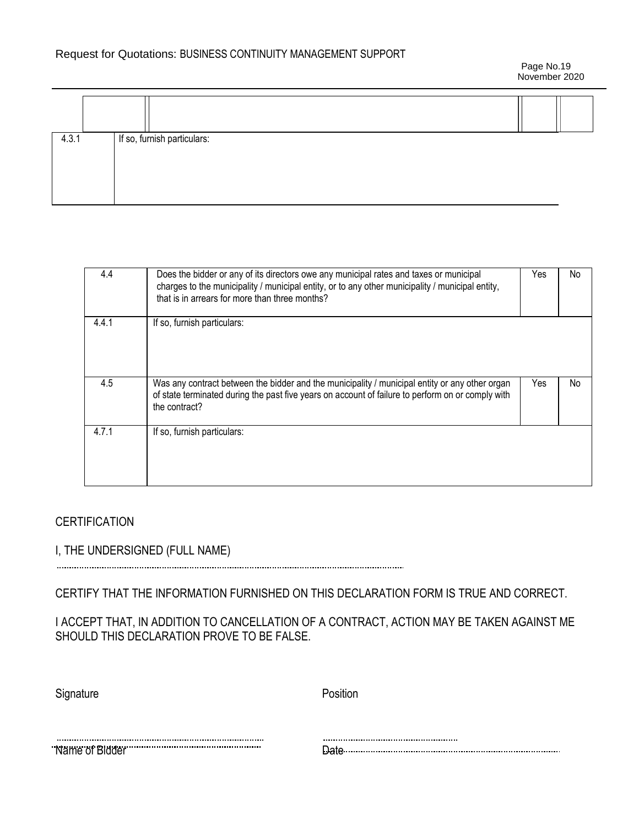Page No.19 November 2020

| 4.3.1 |  | If so, furnish particulars: |  |
|-------|--|-----------------------------|--|
|       |  |                             |  |

| 4.4   | Does the bidder or any of its directors owe any municipal rates and taxes or municipal<br>charges to the municipality / municipal entity, or to any other municipality / municipal entity,<br>that is in arrears for more than three months? | Yes | No  |
|-------|----------------------------------------------------------------------------------------------------------------------------------------------------------------------------------------------------------------------------------------------|-----|-----|
| 4.4.1 | If so, furnish particulars:                                                                                                                                                                                                                  |     |     |
| 4.5   | Was any contract between the bidder and the municipality / municipal entity or any other organ<br>of state terminated during the past five years on account of failure to perform on or comply with<br>the contract?                         | Yes | No. |
| 4.7.1 | If so, furnish particulars:                                                                                                                                                                                                                  |     |     |

# **CERTIFICATION**

# I, THE UNDERSIGNED (FULL NAME)

CERTIFY THAT THE INFORMATION FURNISHED ON THIS DECLARATION FORM IS TRUE AND CORRECT.

I ACCEPT THAT, IN ADDITION TO CANCELLATION OF A CONTRACT, ACTION MAY BE TAKEN AGAINST ME SHOULD THIS DECLARATION PROVE TO BE FALSE.

| Signature                              | Position |
|----------------------------------------|----------|
|                                        |          |
| "Name of Bidder" www.communication.com |          |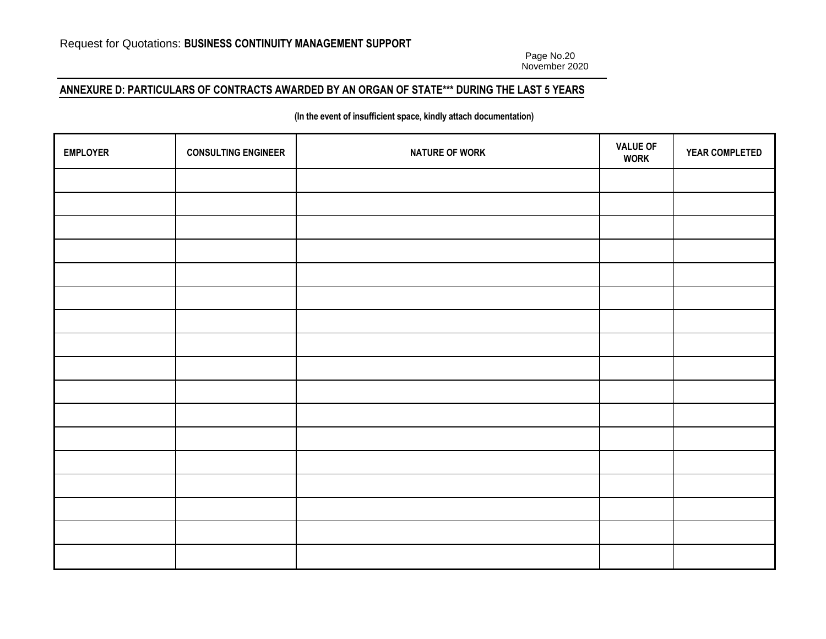Page No.20 November 2020

# **ANNEXURE D: PARTICULARS OF CONTRACTS AWARDED BY AN ORGAN OF STATE\*\*\* DURING THE LAST 5 YEARS**

#### **(In the event of insufficient space, kindly attach documentation)**

| <b>EMPLOYER</b> | <b>CONSULTING ENGINEER</b> | <b>NATURE OF WORK</b> | <b>VALUE OF</b><br><b>WORK</b> | YEAR COMPLETED |
|-----------------|----------------------------|-----------------------|--------------------------------|----------------|
|                 |                            |                       |                                |                |
|                 |                            |                       |                                |                |
|                 |                            |                       |                                |                |
|                 |                            |                       |                                |                |
|                 |                            |                       |                                |                |
|                 |                            |                       |                                |                |
|                 |                            |                       |                                |                |
|                 |                            |                       |                                |                |
|                 |                            |                       |                                |                |
|                 |                            |                       |                                |                |
|                 |                            |                       |                                |                |
|                 |                            |                       |                                |                |
|                 |                            |                       |                                |                |
|                 |                            |                       |                                |                |
|                 |                            |                       |                                |                |
|                 |                            |                       |                                |                |
|                 |                            |                       |                                |                |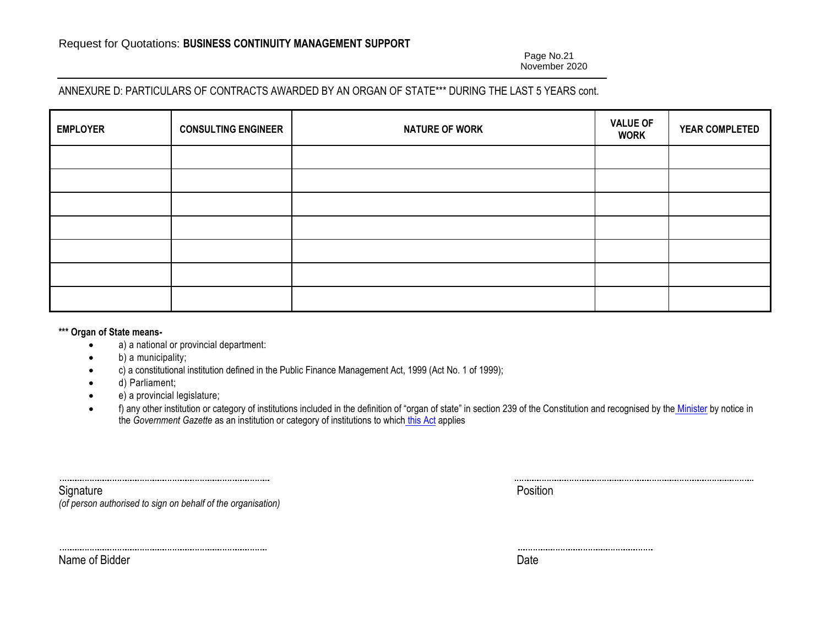Page No.21 November 2020

# ANNEXURE D: PARTICULARS OF CONTRACTS AWARDED BY AN ORGAN OF STATE\*\*\* DURING THE LAST 5 YEARS cont.

| <b>EMPLOYER</b> | <b>CONSULTING ENGINEER</b> | <b>NATURE OF WORK</b> | <b>VALUE OF</b><br><b>WORK</b> | YEAR COMPLETED |
|-----------------|----------------------------|-----------------------|--------------------------------|----------------|
|                 |                            |                       |                                |                |
|                 |                            |                       |                                |                |
|                 |                            |                       |                                |                |
|                 |                            |                       |                                |                |
|                 |                            |                       |                                |                |
|                 |                            |                       |                                |                |
|                 |                            |                       |                                |                |

#### **\*\*\* Organ of State means-**

- a) a national or provincial department:
- b) a municipality;
- c) a constitutional institution defined in the Public Finance Management Act, 1999 (Act No. 1 of 1999);
- d) Parliament;
- e) a provincial legislature;
- f) any other institution or category of institutions included in the definition of "organ of state" in section 239 of the Constitution and recognised by the *Minister* by notice in the *Government Gazette* as an institution or category of institutions to which this Act applies

Signature **Position** *(of person authorised to sign on behalf of the organisation)*

Name of Bidder Date Date Communications and the Date Date Date Date Date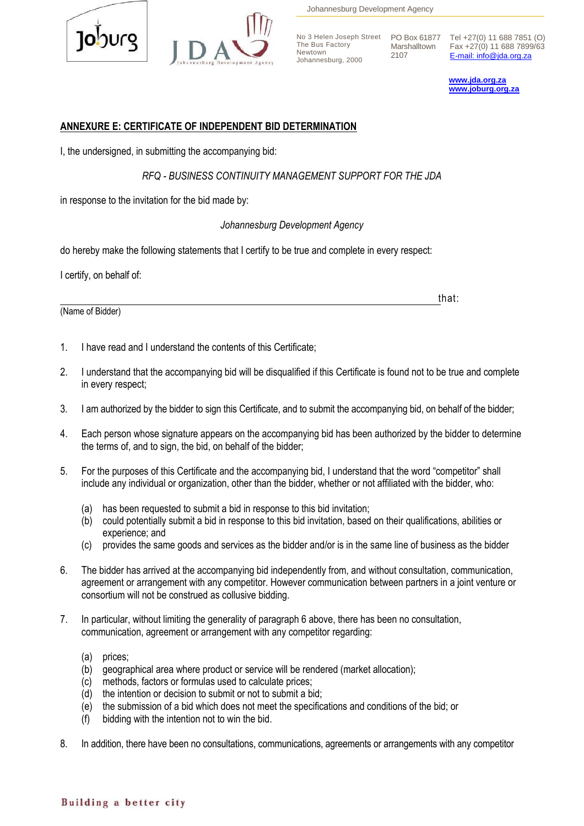



Johannesburg Development Agency

The Bus Factory Newtown Johannesburg, 2000

2107

No 3 Helen Joseph Street PO Box 61877 Tel +27(0) 11 688 7851 (O) Marshalltown Fax +27(0) 11 688 7899/63 [E-mail: info@jda.org.za](mailto:info@jda.org.za)

> **[www.jda.org.za](http://www.jda.org.za/) [www.joburg.org.za](http://www.joburg.org.za/)**

### **ANNEXURE E: CERTIFICATE OF INDEPENDENT BID DETERMINATION**

I, the undersigned, in submitting the accompanying bid:

*RFQ - BUSINESS CONTINUITY MANAGEMENT SUPPORT FOR THE JDA*

in response to the invitation for the bid made by:

#### *Johannesburg Development Agency*

do hereby make the following statements that I certify to be true and complete in every respect:

I certify, on behalf of:

(Name of Bidder)

that:

- 1. I have read and I understand the contents of this Certificate;
- 2. I understand that the accompanying bid will be disqualified if this Certificate is found not to be true and complete in every respect;
- 3. I am authorized by the bidder to sign this Certificate, and to submit the accompanying bid, on behalf of the bidder;
- 4. Each person whose signature appears on the accompanying bid has been authorized by the bidder to determine the terms of, and to sign, the bid, on behalf of the bidder;
- 5. For the purposes of this Certificate and the accompanying bid, I understand that the word "competitor" shall include any individual or organization, other than the bidder, whether or not affiliated with the bidder, who:
	- (a) has been requested to submit a bid in response to this bid invitation;
	- (b) could potentially submit a bid in response to this bid invitation, based on their qualifications, abilities or experience; and
	- (c) provides the same goods and services as the bidder and/or is in the same line of business as the bidder
- 6. The bidder has arrived at the accompanying bid independently from, and without consultation, communication, agreement or arrangement with any competitor. However communication between partners in a joint venture or consortium will not be construed as collusive bidding.
- 7. In particular, without limiting the generality of paragraph 6 above, there has been no consultation, communication, agreement or arrangement with any competitor regarding:
	- (a) prices;
	- (b) geographical area where product or service will be rendered (market allocation);
	- (c) methods, factors or formulas used to calculate prices;
	- (d) the intention or decision to submit or not to submit a bid;
	- (e) the submission of a bid which does not meet the specifications and conditions of the bid; or
	- (f) bidding with the intention not to win the bid.
- 8. In addition, there have been no consultations, communications, agreements or arrangements with any competitor